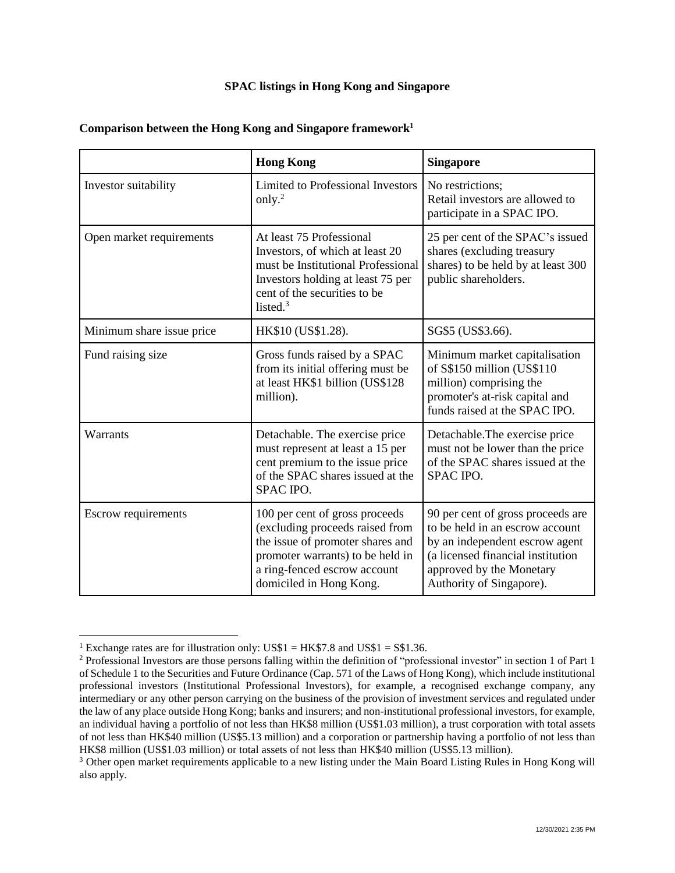## **SPAC listings in Hong Kong and Singapore**

|                            | <b>Hong Kong</b>                                                                                                                                                                                     | <b>Singapore</b>                                                                                                                                                                                    |
|----------------------------|------------------------------------------------------------------------------------------------------------------------------------------------------------------------------------------------------|-----------------------------------------------------------------------------------------------------------------------------------------------------------------------------------------------------|
| Investor suitability       | <b>Limited to Professional Investors</b><br>only. $^{2}$                                                                                                                                             | No restrictions;<br>Retail investors are allowed to<br>participate in a SPAC IPO.                                                                                                                   |
| Open market requirements   | At least 75 Professional<br>Investors, of which at least 20<br>must be Institutional Professional<br>Investors holding at least 75 per<br>cent of the securities to be<br>listed. $3$                | 25 per cent of the SPAC's issued<br>shares (excluding treasury<br>shares) to be held by at least 300<br>public shareholders.                                                                        |
| Minimum share issue price  | HK\$10 (US\$1.28).                                                                                                                                                                                   | SG\$5 (US\$3.66).                                                                                                                                                                                   |
| Fund raising size          | Gross funds raised by a SPAC<br>from its initial offering must be<br>at least HK\$1 billion (US\$128<br>million).                                                                                    | Minimum market capitalisation<br>of S\$150 million (US\$110<br>million) comprising the<br>promoter's at-risk capital and<br>funds raised at the SPAC IPO.                                           |
| Warrants                   | Detachable. The exercise price<br>must represent at least a 15 per<br>cent premium to the issue price<br>of the SPAC shares issued at the<br>SPAC IPO.                                               | Detachable. The exercise price<br>must not be lower than the price<br>of the SPAC shares issued at the<br><b>SPAC IPO.</b>                                                                          |
| <b>Escrow requirements</b> | 100 per cent of gross proceeds<br>(excluding proceeds raised from<br>the issue of promoter shares and<br>promoter warrants) to be held in<br>a ring-fenced escrow account<br>domiciled in Hong Kong. | 90 per cent of gross proceeds are<br>to be held in an escrow account<br>by an independent escrow agent<br>(a licensed financial institution<br>approved by the Monetary<br>Authority of Singapore). |

## **Comparison between the Hong Kong and Singapore framework<sup>1</sup>**

 $\overline{a}$ 

<sup>&</sup>lt;sup>1</sup> Exchange rates are for illustration only: US\$1 = HK\$7.8 and US\$1 = S\$1.36.

<sup>&</sup>lt;sup>2</sup> Professional Investors are those persons falling within the definition of "professional investor" in section 1 of Part 1 of Schedule 1 to the Securities and Future Ordinance (Cap. 571 of the Laws of Hong Kong), which include institutional professional investors (Institutional Professional Investors), for example, a recognised exchange company, any intermediary or any other person carrying on the business of the provision of investment services and regulated under the law of any place outside Hong Kong; banks and insurers; and non-institutional professional investors, for example, an individual having a portfolio of not less than HK\$8 million (US\$1.03 million), a trust corporation with total assets of not less than HK\$40 million (US\$5.13 million) and a corporation or partnership having a portfolio of not less than HK\$8 million (US\$1.03 million) or total assets of not less than HK\$40 million (US\$5.13 million).

<sup>3</sup> Other open market requirements applicable to a new listing under the Main Board Listing Rules in Hong Kong will also apply.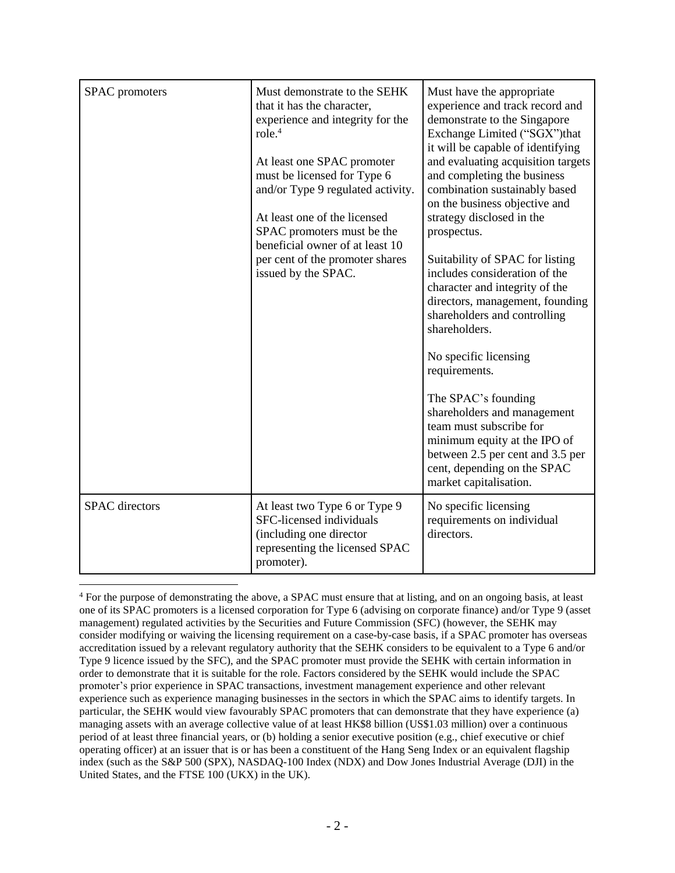| SPAC promoters        | Must demonstrate to the SEHK<br>that it has the character,<br>experience and integrity for the<br>role. <sup>4</sup><br>At least one SPAC promoter<br>must be licensed for Type 6<br>and/or Type 9 regulated activity.<br>At least one of the licensed<br>SPAC promoters must be the<br>beneficial owner of at least 10<br>per cent of the promoter shares<br>issued by the SPAC. | Must have the appropriate<br>experience and track record and<br>demonstrate to the Singapore<br>Exchange Limited ("SGX")that<br>it will be capable of identifying<br>and evaluating acquisition targets<br>and completing the business<br>combination sustainably based<br>on the business objective and<br>strategy disclosed in the<br>prospectus.<br>Suitability of SPAC for listing<br>includes consideration of the<br>character and integrity of the<br>directors, management, founding<br>shareholders and controlling<br>shareholders.<br>No specific licensing<br>requirements.<br>The SPAC's founding<br>shareholders and management<br>team must subscribe for<br>minimum equity at the IPO of<br>between 2.5 per cent and 3.5 per<br>cent, depending on the SPAC<br>market capitalisation. |
|-----------------------|-----------------------------------------------------------------------------------------------------------------------------------------------------------------------------------------------------------------------------------------------------------------------------------------------------------------------------------------------------------------------------------|--------------------------------------------------------------------------------------------------------------------------------------------------------------------------------------------------------------------------------------------------------------------------------------------------------------------------------------------------------------------------------------------------------------------------------------------------------------------------------------------------------------------------------------------------------------------------------------------------------------------------------------------------------------------------------------------------------------------------------------------------------------------------------------------------------|
| <b>SPAC</b> directors | At least two Type 6 or Type 9<br>SFC-licensed individuals<br>(including one director<br>representing the licensed SPAC<br>promoter).                                                                                                                                                                                                                                              | No specific licensing<br>requirements on individual<br>directors.                                                                                                                                                                                                                                                                                                                                                                                                                                                                                                                                                                                                                                                                                                                                      |

<sup>4</sup> For the purpose of demonstrating the above, a SPAC must ensure that at listing, and on an ongoing basis, at least one of its SPAC promoters is a licensed corporation for Type 6 (advising on corporate finance) and/or Type 9 (asset management) regulated activities by the Securities and Future Commission (SFC) (however, the SEHK may consider modifying or waiving the licensing requirement on a case-by-case basis, if a SPAC promoter has overseas accreditation issued by a relevant regulatory authority that the SEHK considers to be equivalent to a Type 6 and/or Type 9 licence issued by the SFC), and the SPAC promoter must provide the SEHK with certain information in order to demonstrate that it is suitable for the role. Factors considered by the SEHK would include the SPAC promoter's prior experience in SPAC transactions, investment management experience and other relevant experience such as experience managing businesses in the sectors in which the SPAC aims to identify targets. In particular, the SEHK would view favourably SPAC promoters that can demonstrate that they have experience (a) managing assets with an average collective value of at least HK\$8 billion (US\$1.03 million) over a continuous period of at least three financial years, or (b) holding a senior executive position (e.g., chief executive or chief operating officer) at an issuer that is or has been a constituent of the Hang Seng Index or an equivalent flagship index (such as the S&P 500 (SPX), NASDAQ-100 Index (NDX) and Dow Jones Industrial Average (DJI) in the United States, and the FTSE 100 (UKX) in the UK).

 $\overline{a}$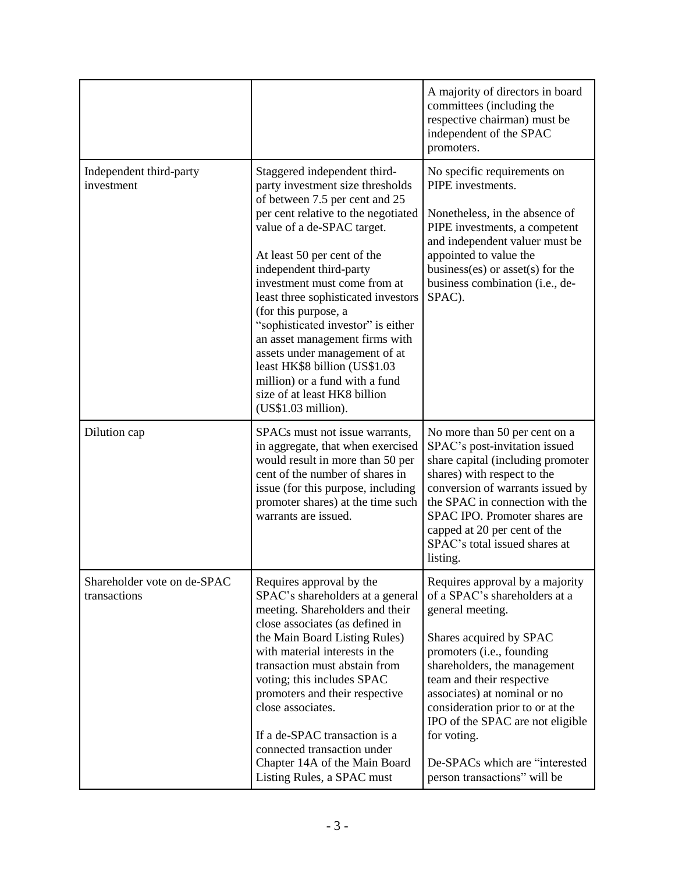|                                             |                                                                                                                                                                                                                                                                                                                                                                                                                                                                                                                                                                     | A majority of directors in board<br>committees (including the<br>respective chairman) must be<br>independent of the SPAC<br>promoters.                                                                                                                                                                                                                                                             |
|---------------------------------------------|---------------------------------------------------------------------------------------------------------------------------------------------------------------------------------------------------------------------------------------------------------------------------------------------------------------------------------------------------------------------------------------------------------------------------------------------------------------------------------------------------------------------------------------------------------------------|----------------------------------------------------------------------------------------------------------------------------------------------------------------------------------------------------------------------------------------------------------------------------------------------------------------------------------------------------------------------------------------------------|
| Independent third-party<br>investment       | Staggered independent third-<br>party investment size thresholds<br>of between 7.5 per cent and 25<br>per cent relative to the negotiated<br>value of a de-SPAC target.<br>At least 50 per cent of the<br>independent third-party<br>investment must come from at<br>least three sophisticated investors<br>(for this purpose, a<br>"sophisticated investor" is either<br>an asset management firms with<br>assets under management of at<br>least HK\$8 billion (US\$1.03<br>million) or a fund with a fund<br>size of at least HK8 billion<br>(US\$1.03 million). | No specific requirements on<br>PIPE investments.<br>Nonetheless, in the absence of<br>PIPE investments, a competent<br>and independent valuer must be<br>appointed to value the<br>business(es) or asset(s) for the<br>business combination (i.e., de-<br>SPAC).                                                                                                                                   |
| Dilution cap                                | SPACs must not issue warrants,<br>in aggregate, that when exercised<br>would result in more than 50 per<br>cent of the number of shares in<br>issue (for this purpose, including<br>promoter shares) at the time such<br>warrants are issued.                                                                                                                                                                                                                                                                                                                       | No more than 50 per cent on a<br>SPAC's post-invitation issued<br>share capital (including promoter<br>shares) with respect to the<br>conversion of warrants issued by<br>the SPAC in connection with the<br>SPAC IPO. Promoter shares are<br>capped at 20 per cent of the<br>SPAC's total issued shares at<br>listing.                                                                            |
| Shareholder vote on de-SPAC<br>transactions | Requires approval by the<br>SPAC's shareholders at a general<br>meeting. Shareholders and their<br>close associates (as defined in<br>the Main Board Listing Rules)<br>with material interests in the<br>transaction must abstain from<br>voting; this includes SPAC<br>promoters and their respective<br>close associates.<br>If a de-SPAC transaction is a<br>connected transaction under<br>Chapter 14A of the Main Board<br>Listing Rules, a SPAC must                                                                                                          | Requires approval by a majority<br>of a SPAC's shareholders at a<br>general meeting.<br>Shares acquired by SPAC<br>promoters (i.e., founding<br>shareholders, the management<br>team and their respective<br>associates) at nominal or no<br>consideration prior to or at the<br>IPO of the SPAC are not eligible<br>for voting.<br>De-SPACs which are "interested<br>person transactions" will be |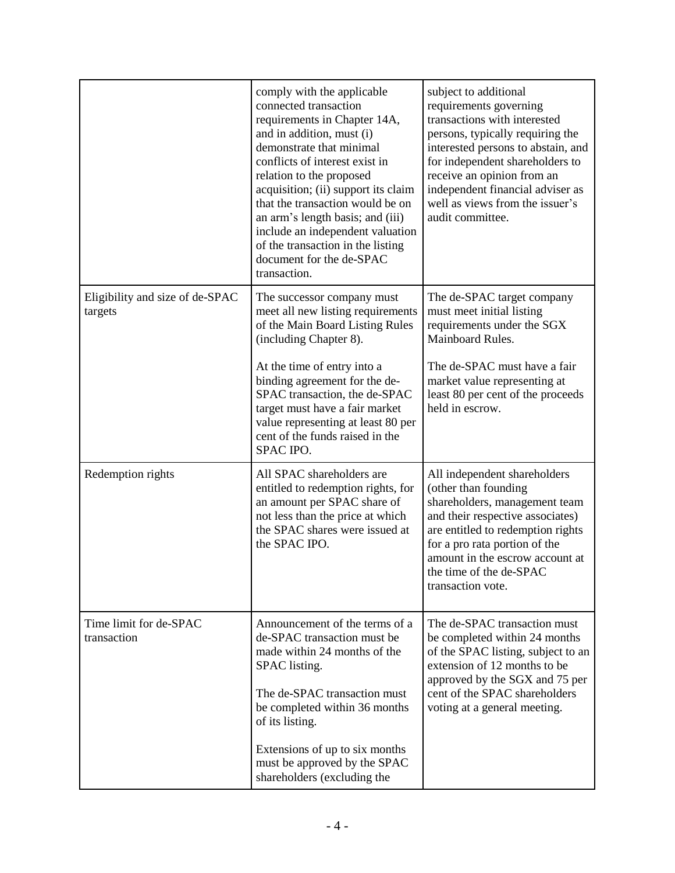|                                            | comply with the applicable<br>connected transaction<br>requirements in Chapter 14A,<br>and in addition, must (i)<br>demonstrate that minimal<br>conflicts of interest exist in<br>relation to the proposed<br>acquisition; (ii) support its claim<br>that the transaction would be on<br>an arm's length basis; and (iii)<br>include an independent valuation<br>of the transaction in the listing<br>document for the de-SPAC<br>transaction. | subject to additional<br>requirements governing<br>transactions with interested<br>persons, typically requiring the<br>interested persons to abstain, and<br>for independent shareholders to<br>receive an opinion from an<br>independent financial adviser as<br>well as views from the issuer's<br>audit committee. |
|--------------------------------------------|------------------------------------------------------------------------------------------------------------------------------------------------------------------------------------------------------------------------------------------------------------------------------------------------------------------------------------------------------------------------------------------------------------------------------------------------|-----------------------------------------------------------------------------------------------------------------------------------------------------------------------------------------------------------------------------------------------------------------------------------------------------------------------|
| Eligibility and size of de-SPAC<br>targets | The successor company must<br>meet all new listing requirements<br>of the Main Board Listing Rules<br>(including Chapter 8).<br>At the time of entry into a<br>binding agreement for the de-<br>SPAC transaction, the de-SPAC<br>target must have a fair market<br>value representing at least 80 per<br>cent of the funds raised in the<br>SPAC IPO.                                                                                          | The de-SPAC target company<br>must meet initial listing<br>requirements under the SGX<br>Mainboard Rules.<br>The de-SPAC must have a fair<br>market value representing at<br>least 80 per cent of the proceeds<br>held in escrow.                                                                                     |
| Redemption rights                          | All SPAC shareholders are<br>entitled to redemption rights, for<br>an amount per SPAC share of<br>not less than the price at which<br>the SPAC shares were issued at<br>the SPAC IPO.                                                                                                                                                                                                                                                          | All independent shareholders<br>(other than founding<br>shareholders, management team<br>and their respective associates)<br>are entitled to redemption rights<br>for a pro rata portion of the<br>amount in the escrow account at<br>the time of the de-SPAC<br>transaction vote.                                    |
| Time limit for de-SPAC<br>transaction      | Announcement of the terms of a<br>de-SPAC transaction must be<br>made within 24 months of the<br>SPAC listing.<br>The de-SPAC transaction must<br>be completed within 36 months<br>of its listing.<br>Extensions of up to six months<br>must be approved by the SPAC<br>shareholders (excluding the                                                                                                                                            | The de-SPAC transaction must<br>be completed within 24 months<br>of the SPAC listing, subject to an<br>extension of 12 months to be<br>approved by the SGX and 75 per<br>cent of the SPAC shareholders<br>voting at a general meeting.                                                                                |